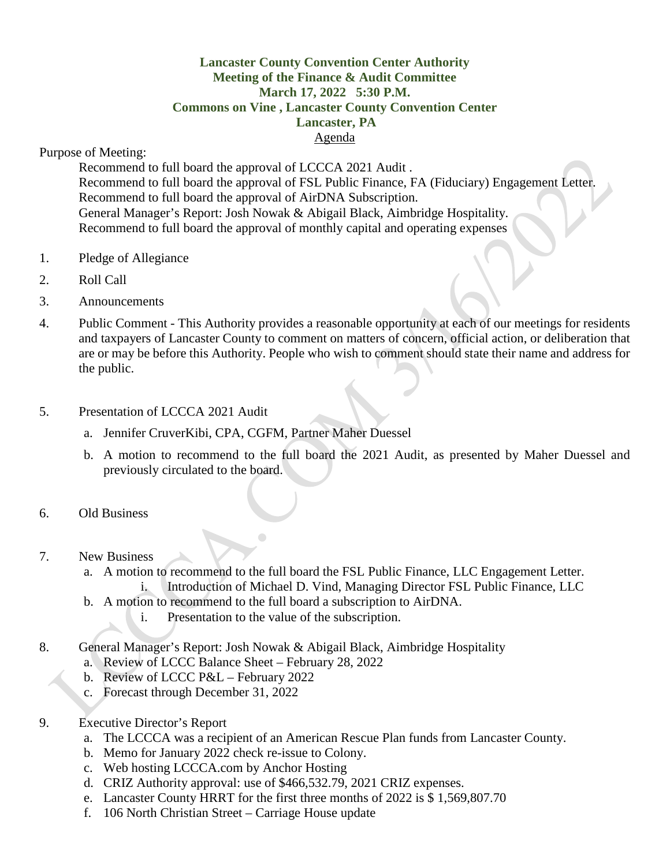## **Lancaster County Convention Center Authority Meeting of the Finance & Audit Committee March 17, 2022 5:30 P.M. Commons on Vine , Lancaster County Convention Center Lancaster, PA** Agenda

Purpose of Meeting:

Recommend to full board the approval of LCCCA 2021 Audit . Recommend to full board the approval of FSL Public Finance, FA (Fiduciary) Engagement Letter. Recommend to full board the approval of AirDNA Subscription. General Manager's Report: Josh Nowak & Abigail Black, Aimbridge Hospitality. Recommend to full board the approval of monthly capital and operating expenses

- 1. Pledge of Allegiance
- 2. Roll Call
- 3. Announcements
- 4. Public Comment This Authority provides a reasonable opportunity at each of our meetings for residents and taxpayers of Lancaster County to comment on matters of concern, official action, or deliberation that are or may be before this Authority. People who wish to comment should state their name and address for the public.
- 5. Presentation of LCCCA 2021 Audit
	- a. Jennifer CruverKibi, CPA, CGFM, Partner Maher Duessel
	- b. A motion to recommend to the full board the 2021 Audit, as presented by Maher Duessel and previously circulated to the board.
- 6. Old Business
- 7. New Business
	- a. A motion to recommend to the full board the FSL Public Finance, LLC Engagement Letter. i. Introduction of Michael D. Vind, Managing Director FSL Public Finance, LLC
	- b. A motion to recommend to the full board a subscription to AirDNA.

 $\overline{\phantom{a}}$ 

- i. Presentation to the value of the subscription.
- 8. General Manager's Report: Josh Nowak & Abigail Black, Aimbridge Hospitality
	- a. Review of LCCC Balance Sheet February 28, 2022
	- b. Review of LCCC P&L February 2022
	- c. Forecast through December 31, 2022
- 9. Executive Director's Report
	- a. The LCCCA was a recipient of an American Rescue Plan funds from Lancaster County.
	- b. Memo for January 2022 check re-issue to Colony.
	- c. Web hosting LCCCA.com by Anchor Hosting
	- d. CRIZ Authority approval: use of \$466,532.79, 2021 CRIZ expenses.
	- e. Lancaster County HRRT for the first three months of 2022 is \$ 1,569,807.70
	- f. 106 North Christian Street Carriage House update